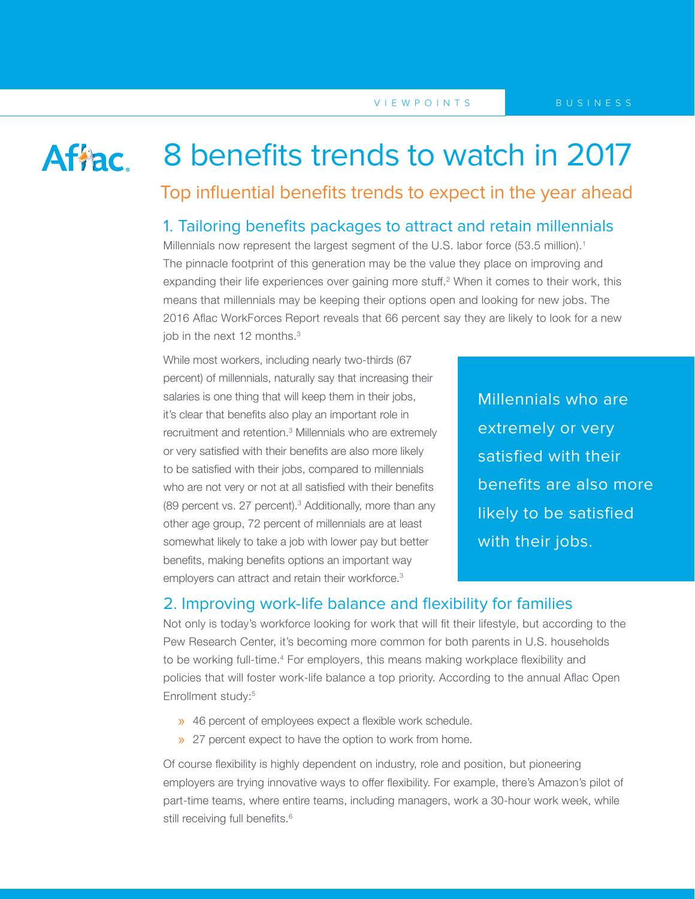## Affac.

# 8 benefits trends to watch in 2017

Top influential benefits trends to expect in the year ahead

## 1. Tailoring benefits packages to attract and retain millennials

Millennials now represent the largest segment of the U.S. labor force (53.5 million).<sup>1</sup> The pinnacle footprint of this generation may be the value they place on improving and expanding their life experiences over gaining more stuff.<sup>2</sup> When it comes to their work, this means that millennials may be keeping their options open and looking for new jobs. The 2016 Aflac WorkForces Report reveals that 66 percent say they are likely to look for a new iob in the next 12 months.<sup>3</sup>

While most workers, including nearly two-thirds (67 percent) of millennials, naturally say that increasing their salaries is one thing that will keep them in their jobs, it's clear that benefits also play an important role in recruitment and retention.3 Millennials who are extremely or very satisfied with their benefits are also more likely to be satisfied with their jobs, compared to millennials who are not very or not at all satisfied with their benefits (89 percent vs. 27 percent).<sup>3</sup> Additionally, more than any other age group, 72 percent of millennials are at least somewhat likely to take a job with lower pay but better benefits, making benefits options an important way employers can attract and retain their workforce.<sup>3</sup>

Millennials who are extremely or very satisfied with their benefits are also more likely to be satisfied with their jobs.

## 2. Improving work-life balance and flexibility for families

Not only is today's workforce looking for work that will fit their lifestyle, but according to the Pew Research Center, it's becoming more common for both parents in U.S. households to be working full-time.<sup>4</sup> For employers, this means making workplace flexibility and policies that will foster work-life balance a top priority. According to the annual Aflac Open Enrollment study:<sup>5</sup>

- » 46 percent of employees expect a flexible work schedule.
- » 27 percent expect to have the option to work from home.

Of course flexibility is highly dependent on industry, role and position, but pioneering employers are trying innovative ways to offer flexibility. For example, there's Amazon's pilot of part-time teams, where entire teams, including managers, work a 30-hour work week, while still receiving full benefits.<sup>6</sup>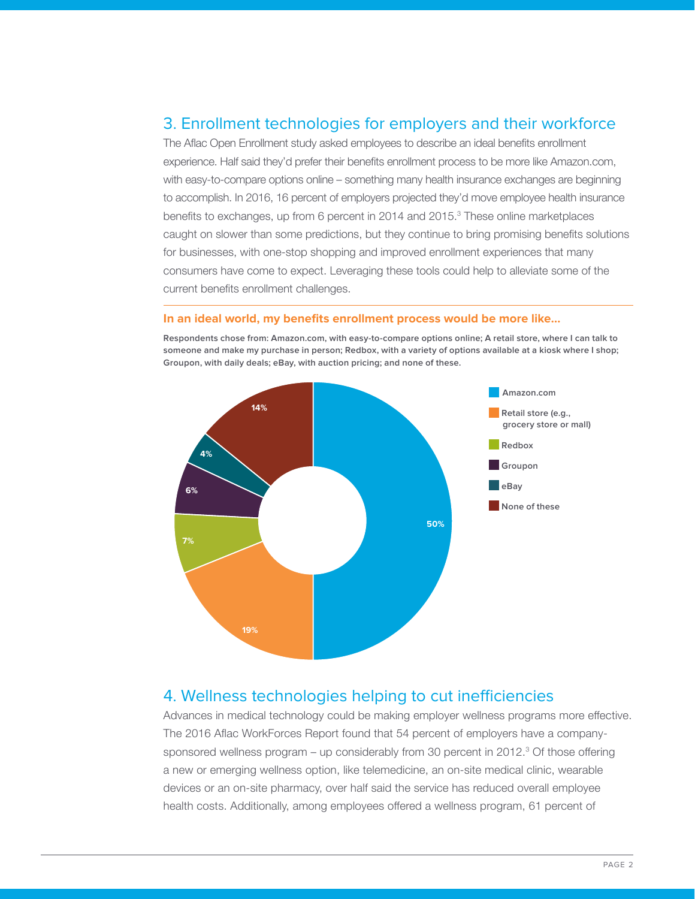## 3. Enrollment technologies for employers and their workforce

The Aflac Open Enrollment study asked employees to describe an ideal benefits enrollment experience. Half said they'd prefer their benefits enrollment process to be more like Amazon.com, with easy-to-compare options online – something many health insurance exchanges are beginning to accomplish. In 2016, 16 percent of employers projected they'd move employee health insurance benefits to exchanges, up from 6 percent in 2014 and 2015. $3$  These online marketplaces caught on slower than some predictions, but they continue to bring promising benefits solutions for businesses, with one-stop shopping and improved enrollment experiences that many consumers have come to expect. Leveraging these tools could help to alleviate some of the current benefits enrollment challenges.

#### **In an ideal world, my benefits enrollment process would be more like…**

**Amazon.com Retail store (e.g., grocery store or mall) Redbox Groupon eBay None of these 50% 7% 19% 6% 4% 14%**

**Respondents chose from: Amazon.com, with easy-to-compare options online; A retail store, where I can talk to someone and make my purchase in person; Redbox, with a variety of options available at a kiosk where I shop; Groupon, with daily deals; eBay, with auction pricing; and none of these.**

#### 4. Wellness technologies helping to cut inefficiencies

Advances in medical technology could be making employer wellness programs more effective. The 2016 Aflac WorkForces Report found that 54 percent of employers have a companysponsored wellness program – up considerably from 30 percent in 2012.<sup>3</sup> Of those offering a new or emerging wellness option, like telemedicine, an on-site medical clinic, wearable devices or an on-site pharmacy, over half said the service has reduced overall employee health costs. Additionally, among employees offered a wellness program, 61 percent of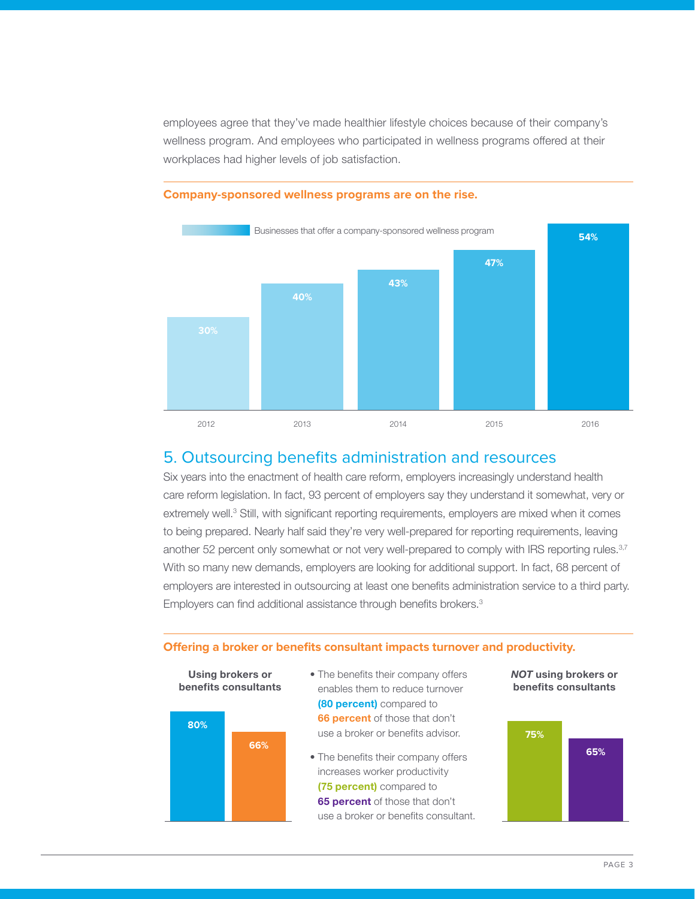employees agree that they've made healthier lifestyle choices because of their company's wellness program. And employees who participated in wellness programs offered at their workplaces had higher levels of job satisfaction.



#### **Company-sponsored wellness programs are on the rise.**

## 5. Outsourcing benefits administration and resources

Six years into the enactment of health care reform, employers increasingly understand health care reform legislation. In fact, 93 percent of employers say they understand it somewhat, very or extremely well.<sup>3</sup> Still, with significant reporting requirements, employers are mixed when it comes to being prepared. Nearly half said they're very well-prepared for reporting requirements, leaving another 52 percent only somewhat or not very well-prepared to comply with IRS reporting rules.<sup>3,7</sup> With so many new demands, employers are looking for additional support. In fact, 68 percent of employers are interested in outsourcing at least one benefits administration service to a third party. Employers can find additional assistance through benefits brokers.<sup>3</sup>

#### **Offering a broker or benefits consultant impacts turnover and productivity.**



• The benefits their company offers enables them to reduce turnover **(80 percent)** compared to **66 percent** of those that don't use a broker or benefits advisor.

• The benefits their company offers increases worker productivity **(75 percent)** compared to **65 percent** of those that don't use a broker or benefits consultant.

*NOT* **using brokers or benefits consultants**

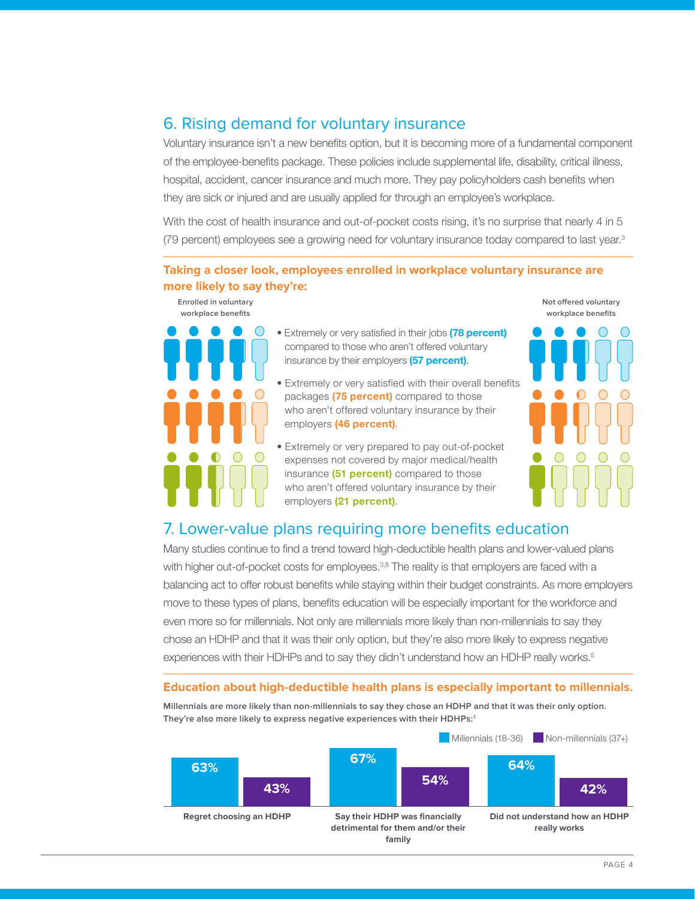## 6. Rising demand for voluntary insurance

Voluntary insurance isn't a new benefits option, but it is becoming more of a fundamental component of the employee-benefits package. These policies include supplemental life, disability, critical illness, hospital, accident, cancer insurance and much more. They pay policyholders cash benefits when they are sick or injured and are usually applied for through an employee's workplace.

With the cost of health insurance and out-of-pocket costs rising, it's no surprise that nearly 4 in 5 (79 percent) employees see a growing need for voluntary insurance today compared to last year.<sup>3</sup>

#### **Taking a closer look, employees enrolled in workplace voluntary insurance are more likely to say they're:**

**Enrolled in voluntary workplace benefits**



- Extremely or very satisfied in their jobs **(78 percent)** compared to those who aren't offered voluntary insurance by their employers **(57 percent)**.
- Extremely or very satisfied with their overall benefits packages **(75 percent)** compared to those who aren't offered voluntary insurance by their employers **(46 percent)**.
- Extremely or very prepared to pay out-of-pocket expenses not covered by major medical/health insurance **(51 percent)** compared to those who aren't offered voluntary insurance by their employers **(21 percent)**.



## 7. Lower-value plans requiring more benefits education

Many studies continue to find a trend toward high-deductible health plans and lower-valued plans with higher out-of-pocket costs for employees.<sup>3,8</sup> The reality is that employers are faced with a balancing act to offer robust benefits while staying within their budget constraints. As more employers move to these types of plans, benefits education will be especially important for the workforce and even more so for millennials. Not only are millennials more likely than non-millennials to say they chose an HDHP and that it was their only option, but they're also more likely to express negative experiences with their HDHPs and to say they didn't understand how an HDHP really works.<sup>5</sup>

#### **Education about high-deductible health plans is especially important to millennials.**



**Millennials are more likely than non-millennials to say they chose an HDHP and that it was their only option. They're also more likely to express negative experiences with their HDHPs:1**